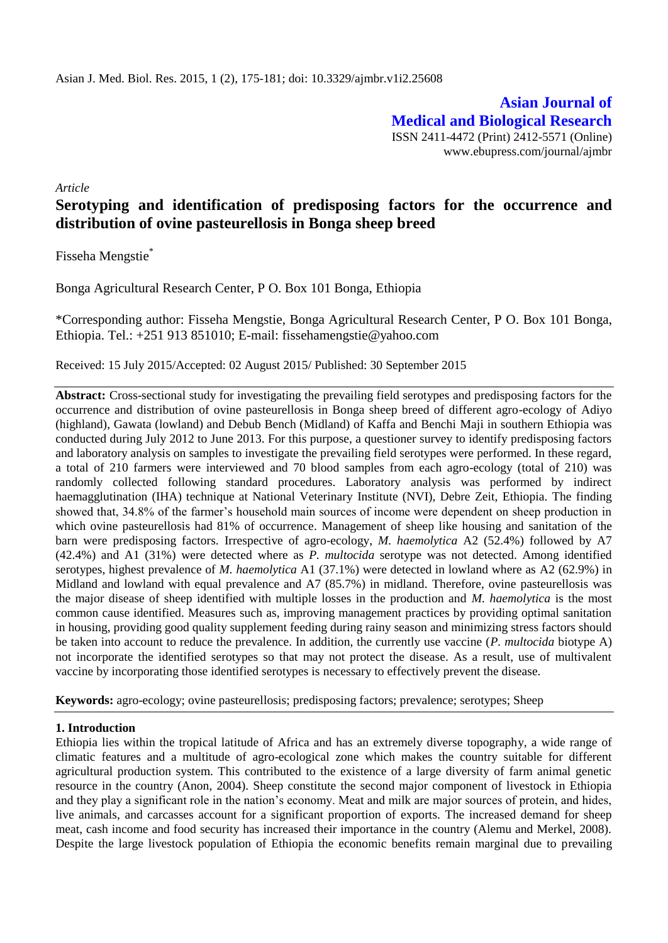**Asian Journal of Medical and Biological Research** ISSN 2411-4472 (Print) 2412-5571 (Online) www.ebupress.com/journal/ajmbr

*Article* 

# **Serotyping and identification of predisposing factors for the occurrence and distribution of ovine pasteurellosis in Bonga sheep breed**

Fisseha Mengstie\*

Bonga Agricultural Research Center, P O. Box 101 Bonga, Ethiopia

\*Corresponding author: Fisseha Mengstie, Bonga Agricultural Research Center, P O. Box 101 Bonga, Ethiopia. Tel.: +251 913 851010; E-mail: [fissehamengstie@yahoo.com](mailto:fissehamengstie@yahoo.com)

Received: 15 July 2015/Accepted: 02 August 2015/ Published: 30 September 2015

**Abstract:** Cross-sectional study for investigating the prevailing field serotypes and predisposing factors for the occurrence and distribution of ovine pasteurellosis in Bonga sheep breed of different agro-ecology of Adiyo (highland), Gawata (lowland) and Debub Bench (Midland) of Kaffa and Benchi Maji in southern Ethiopia was conducted during July 2012 to June 2013. For this purpose, a questioner survey to identify predisposing factors and laboratory analysis on samples to investigate the prevailing field serotypes were performed. In these regard, a total of 210 farmers were interviewed and 70 blood samples from each agro-ecology (total of 210) was randomly collected following standard procedures. Laboratory analysis was performed by indirect haemagglutination (IHA) technique at National Veterinary Institute (NVI), Debre Zeit, Ethiopia. The finding showed that, 34.8% of the farmer's household main sources of income were dependent on sheep production in which ovine pasteurellosis had 81% of occurrence. Management of sheep like housing and sanitation of the barn were predisposing factors. Irrespective of agro-ecology, *M. haemolytica* A2 (52.4%) followed by A7 (42.4%) and A1 (31%) were detected where as *P. multocida* serotype was not detected. Among identified serotypes, highest prevalence of *M. haemolytica* A1 (37.1%) were detected in lowland where as A2 (62.9%) in Midland and lowland with equal prevalence and A7 (85.7%) in midland*.* Therefore, ovine pasteurellosis was the major disease of sheep identified with multiple losses in the production and *M. haemolytica* is the most common cause identified. Measures such as, improving management practices by providing optimal sanitation in housing, providing good quality supplement feeding during rainy season and minimizing stress factors should be taken into account to reduce the prevalence. In addition, the currently use vaccine (*P. multocida* biotype A) not incorporate the identified serotypes so that may not protect the disease. As a result, use of multivalent vaccine by incorporating those identified serotypes is necessary to effectively prevent the disease.

**Keywords:** agro-ecology; ovine pasteurellosis; predisposing factors; prevalence; serotypes; Sheep

## **1. Introduction**

Ethiopia lies within the tropical latitude of Africa and has an extremely diverse topography, a wide range of climatic features and a multitude of agro-ecological zone which makes the country suitable for different agricultural production system. This contributed to the existence of a large diversity of farm animal genetic resource in the country (Anon, 2004). Sheep constitute the second major component of livestock in Ethiopia and they play a significant role in the nation's economy. Meat and milk are major sources of protein, and hides, live animals, and carcasses account for a significant proportion of exports. The increased demand for sheep meat, cash income and food security has increased their importance in the country (Alemu and Merkel, 2008). Despite the large livestock population of Ethiopia the economic benefits remain marginal due to prevailing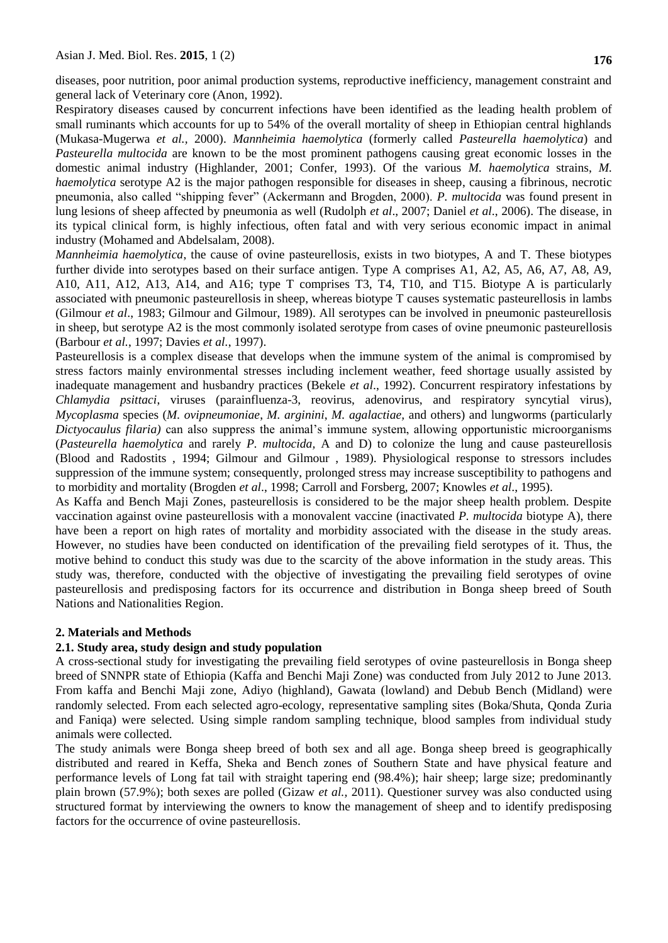diseases, poor nutrition, poor animal production systems, reproductive inefficiency, management constraint and general lack of Veterinary core (Anon, 1992).

Respiratory diseases caused by concurrent infections have been identified as the leading health problem of small ruminants which accounts for up to 54% of the overall mortality of sheep in Ethiopian central highlands (Mukasa-Mugerwa *et al.,* 2000). *Mannheimia haemolytica* (formerly called *Pasteurella haemolytica*) and *Pasteurella multocida* are known to be the most prominent pathogens causing great economic losses in the domestic animal industry (Highlander, 2001; Confer, 1993). Of the various *M. haemolytica* strains, *M. haemolytica* serotype A2 is the major pathogen responsible for diseases in sheep, causing a fibrinous, necrotic pneumonia, also called "shipping fever" (Ackermann and Brogden, 2000). *P. multocida* was found present in lung lesions of sheep affected by pneumonia as well (Rudolph *et al*., 2007; Daniel *et al*., 2006). The disease, in its typical clinical form, is highly infectious, often fatal and with very serious economic impact in animal industry (Mohamed and Abdelsalam, 2008).

*Mannheimia haemolytica*, the cause of ovine pasteurellosis, exists in two biotypes, A and T. These biotypes further divide into serotypes based on their surface antigen. Type A comprises A1, A2, A5, A6, A7, A8, A9, A10, A11, A12, A13, A14, and A16; type T comprises T3, T4, T10, and T15. Biotype A is particularly associated with pneumonic pasteurellosis in sheep, whereas biotype T causes systematic pasteurellosis in lambs (Gilmour *et al*., 1983; Gilmour and Gilmour, 1989). All serotypes can be involved in pneumonic pasteurellosis in sheep, but serotype A2 is the most commonly isolated serotype from cases of ovine pneumonic pasteurellosis (Barbour *et al.*, 1997; Davies *et al.*, 1997).

Pasteurellosis is a complex disease that develops when the immune system of the animal is compromised by stress factors mainly environmental stresses including inclement weather, feed shortage usually assisted by inadequate management and husbandry practices (Bekele *et al*., 1992). Concurrent respiratory infestations by *Chlamydia psittaci*, viruses (parainfluenza-3, reovirus, adenovirus, and respiratory syncytial virus), *Mycoplasma* species (*M. ovipneumoniae*, *M. arginini*, *M. agalactiae,* and others) and lungworms (particularly *Dictyocaulus filaria)* can also suppress the animal's immune system, allowing opportunistic microorganisms (*Pasteurella haemolytica* and rarely *P. multocida,* A and D) to colonize the lung and cause pasteurellosis (Blood and Radostits , 1994; Gilmour and Gilmour , 1989). Physiological response to stressors includes suppression of the immune system; consequently, prolonged stress may increase susceptibility to pathogens and to morbidity and mortality (Brogden *et al*., 1998; Carroll and Forsberg, 2007; Knowles *et al*., 1995).

As Kaffa and Bench Maji Zones, pasteurellosis is considered to be the major sheep health problem. Despite vaccination against ovine pasteurellosis with a monovalent vaccine (inactivated *P. multocida* biotype A), there have been a report on high rates of mortality and morbidity associated with the disease in the study areas. However, no studies have been conducted on identification of the prevailing field serotypes of it. Thus, the motive behind to conduct this study was due to the scarcity of the above information in the study areas. This study was, therefore, conducted with the objective of investigating the prevailing field serotypes of ovine pasteurellosis and predisposing factors for its occurrence and distribution in Bonga sheep breed of South Nations and Nationalities Region.

## **2. Materials and Methods**

## **2.1. Study area, study design and study population**

A cross-sectional study for investigating the prevailing field serotypes of ovine pasteurellosis in Bonga sheep breed of SNNPR state of Ethiopia (Kaffa and Benchi Maji Zone) was conducted from July 2012 to June 2013. From kaffa and Benchi Maji zone, Adiyo (highland), Gawata (lowland) and Debub Bench (Midland) were randomly selected. From each selected agro-ecology, representative sampling sites (Boka/Shuta, Qonda Zuria and Faniqa) were selected. Using simple random sampling technique, blood samples from individual study animals were collected.

The study animals were Bonga sheep breed of both sex and all age. Bonga sheep breed is geographically distributed and reared in Keffa, Sheka and Bench zones of Southern State and have physical feature and performance levels of Long fat tail with straight tapering end (98.4%); hair sheep; large size; predominantly plain brown (57.9%); both sexes are polled (Gizaw *et al.,* 2011). Questioner survey was also conducted using structured format by interviewing the owners to know the management of sheep and to identify predisposing factors for the occurrence of ovine pasteurellosis.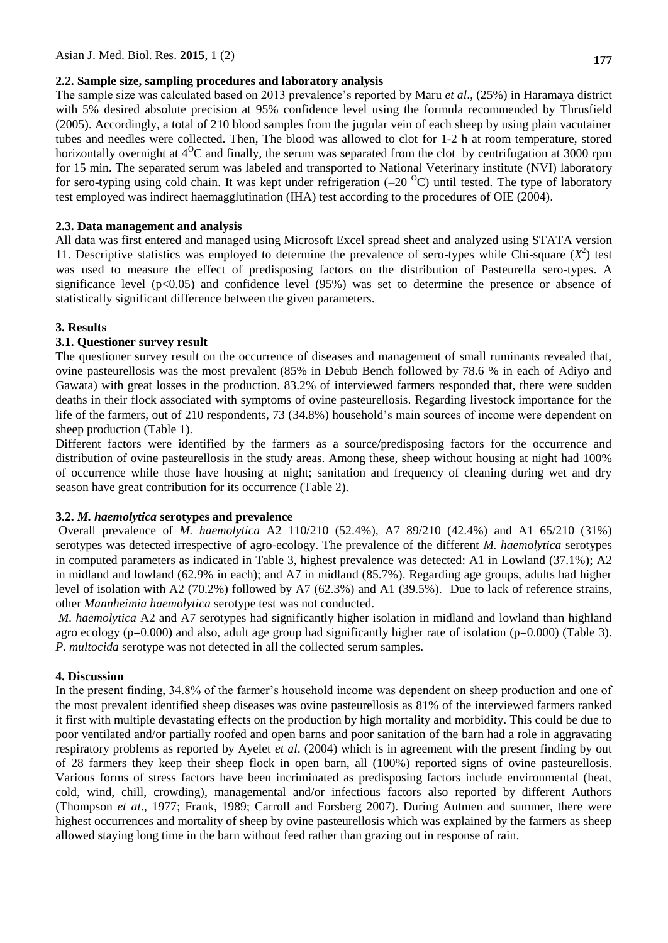## **2.2. Sample size, sampling procedures and laboratory analysis**

The sample size was calculated based on 2013 prevalence's reported by Maru *et al*., (25%) in Haramaya district with 5% desired absolute precision at 95% confidence level using the formula recommended by Thrusfield (2005). Accordingly, a total of 210 blood samples from the jugular vein of each sheep by using plain vacutainer tubes and needles were collected. Then, The blood was allowed to clot for 1-2 h at room temperature, stored horizontally overnight at  $4^{\circ}$ C and finally, the serum was separated from the clot by centrifugation at 3000 rpm for 15 min. The separated serum was labeled and transported to National Veterinary institute (NVI) laboratory for sero-typing using cold chain. It was kept under refrigeration  $(-20<sup>o</sup>C)$  until tested. The type of laboratory test employed was indirect haemagglutination (IHA) test according to the procedures of OIE (2004).

#### **2.3. Data management and analysis**

All data was first entered and managed using Microsoft Excel spread sheet and analyzed using STATA version 11. Descriptive statistics was employed to determine the prevalence of sero-types while Chi-square  $(X^2)$  test was used to measure the effect of predisposing factors on the distribution of Pasteurella sero-types. A significance level ( $p<0.05$ ) and confidence level (95%) was set to determine the presence or absence of statistically significant difference between the given parameters.

## **3. Results**

#### **3.1. Questioner survey result**

The questioner survey result on the occurrence of diseases and management of small ruminants revealed that, ovine pasteurellosis was the most prevalent (85% in Debub Bench followed by 78.6 % in each of Adiyo and Gawata) with great losses in the production. 83.2% of interviewed farmers responded that, there were sudden deaths in their flock associated with symptoms of ovine pasteurellosis. Regarding livestock importance for the life of the farmers, out of 210 respondents, 73 (34.8%) household's main sources of income were dependent on sheep production (Table 1).

Different factors were identified by the farmers as a source/predisposing factors for the occurrence and distribution of ovine pasteurellosis in the study areas. Among these, sheep without housing at night had 100% of occurrence while those have housing at night; sanitation and frequency of cleaning during wet and dry season have great contribution for its occurrence (Table 2).

## **3.2.** *M. haemolytica* **serotypes and prevalence**

Overall prevalence of *M. haemolytica* A2 110/210 (52.4%), A7 89/210 (42.4%) and A1 65/210 (31%) serotypes was detected irrespective of agro-ecology. The prevalence of the different *M. haemolytica* serotypes in computed parameters as indicated in Table 3, highest prevalence was detected: A1 in Lowland (37.1%); A2 in midland and lowland (62.9% in each); and A7 in midland (85.7%). Regarding age groups, adults had higher level of isolation with A2 (70.2%) followed by A7 (62.3%) and A1 (39.5%). Due to lack of reference strains, other *Mannheimia haemolytica* serotype test was not conducted.

*M. haemolytica* A2 and A7 serotypes had significantly higher isolation in midland and lowland than highland agro ecology ( $p=0.000$ ) and also, adult age group had significantly higher rate of isolation ( $p=0.000$ ) (Table 3). *P. multocida* serotype was not detected in all the collected serum samples.

## **4. Discussion**

In the present finding, 34.8% of the farmer's household income was dependent on sheep production and one of the most prevalent identified sheep diseases was ovine pasteurellosis as 81% of the interviewed farmers ranked it first with multiple devastating effects on the production by high mortality and morbidity. This could be due to poor ventilated and/or partially roofed and open barns and poor sanitation of the barn had a role in aggravating respiratory problems as reported by Ayelet *et al*. (2004) which is in agreement with the present finding by out of 28 farmers they keep their sheep flock in open barn, all (100%) reported signs of ovine pasteurellosis. Various forms of stress factors have been incriminated as predisposing factors include environmental (heat, cold, wind, chill, crowding), managemental and/or infectious factors also reported by different Authors (Thompson *et at*., 1977; Frank, 1989; Carroll and Forsberg 2007). During Autmen and summer, there were highest occurrences and mortality of sheep by ovine pasteurellosis which was explained by the farmers as sheep allowed staying long time in the barn without feed rather than grazing out in response of rain.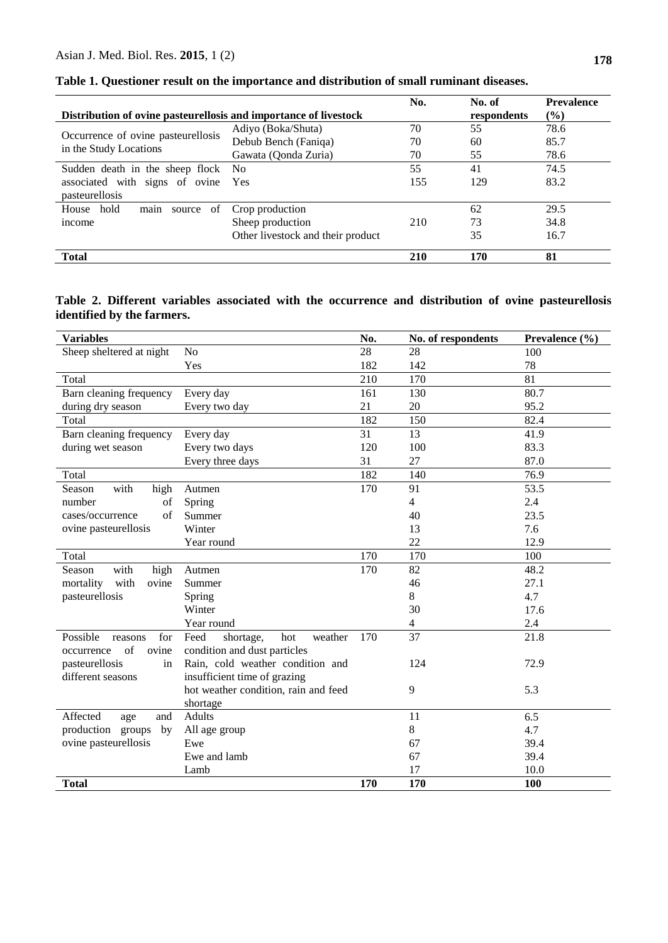| Distribution of ovine pasteurellosis and importance of livestock |                                   |     | No. of<br>respondents | <b>Prevalence</b><br>$\frac{6}{6}$ |
|------------------------------------------------------------------|-----------------------------------|-----|-----------------------|------------------------------------|
|                                                                  | Adiyo (Boka/Shuta)<br>70          |     | 55                    | 78.6                               |
| Occurrence of ovine pasteurellosis                               | Debub Bench (Faniqa)<br>70        |     | 60                    | 85.7                               |
| in the Study Locations                                           | Gawata (Qonda Zuria)              | 70  | 55                    | 78.6                               |
| Sudden death in the sheep flock No                               |                                   | 55  | 41                    | 74.5                               |
| associated with signs of ovine Yes                               |                                   | 155 | 129                   | 83.2                               |
| pasteurellosis                                                   |                                   |     |                       |                                    |
| House hold<br>of<br>source<br>main                               | Crop production                   |     | 62                    | 29.5                               |
| income                                                           | Sheep production                  | 210 | 73                    | 34.8                               |
|                                                                  | Other livestock and their product |     | 35                    | 16.7                               |
| <b>Total</b>                                                     |                                   | 210 | 170                   | 81                                 |

**Table 1. Questioner result on the importance and distribution of small ruminant diseases.**

## **Table 2. Different variables associated with the occurrence and distribution of ovine pasteurellosis identified by the farmers.**

| <b>Variables</b>                           |                                      | No.      | No. of respondents | Prevalence (%) |  |
|--------------------------------------------|--------------------------------------|----------|--------------------|----------------|--|
| N <sub>o</sub><br>Sheep sheltered at night |                                      | 28       | 28                 | 100            |  |
|                                            | Yes                                  | 182      | 142                | 78             |  |
| Total                                      |                                      | 210      | 170                | 81             |  |
| Barn cleaning frequency                    | Every day                            | 161      | 130                | 80.7           |  |
| during dry season                          | Every two day                        | 21       | 20                 | 95.2           |  |
| Total                                      |                                      | 182      | 150                | 82.4           |  |
| Barn cleaning frequency                    | Every day                            | 31       | 13                 | 41.9           |  |
| during wet season                          | Every two days                       | 120      | 100                | 83.3           |  |
|                                            | Every three days                     | 31<br>27 |                    | 87.0           |  |
| Total                                      |                                      | 182      | 140                | 76.9           |  |
| with<br>Season<br>high                     | Autmen                               | 170      | 91                 | 53.5           |  |
| number<br>of                               | Spring                               |          | $\overline{4}$     | 2.4            |  |
| cases/occurrence<br>of                     | Summer                               |          | 40                 | 23.5           |  |
| ovine pasteurellosis                       | Winter                               |          | 13                 | 7.6            |  |
|                                            | Year round                           |          | 22                 | 12.9           |  |
| Total                                      |                                      | 170      | 170                | 100            |  |
| with<br>Season<br>high                     | Autmen                               | 170      | 82                 | 48.2           |  |
| mortality<br>with<br>ovine                 | Summer                               |          | 46                 | 27.1           |  |
| pasteurellosis                             | Spring                               |          | 8                  | 4.7            |  |
|                                            | Winter                               |          | 30                 | 17.6           |  |
|                                            | Year round                           |          | 4                  | 2.4            |  |
| Possible<br>for<br>reasons                 | Feed<br>weather<br>hot<br>shortage,  | 170      | 37                 | 21.8           |  |
| of<br>ovine<br>occurrence                  | condition and dust particles         |          |                    |                |  |
| pasteurellosis<br>in                       | Rain, cold weather condition and     |          | 124                | 72.9           |  |
| different seasons                          | insufficient time of grazing         |          |                    |                |  |
|                                            | hot weather condition, rain and feed |          | 9                  | 5.3            |  |
|                                            | shortage                             |          |                    |                |  |
| Affected<br>and<br>age                     | Adults                               |          | 11                 | 6.5            |  |
| production groups<br>by                    | All age group                        |          | 8                  | 4.7            |  |
| ovine pasteurellosis<br>Ewe                |                                      |          | 67                 | 39.4           |  |
|                                            | Ewe and lamb                         |          | 67                 | 39.4           |  |
|                                            | Lamb                                 |          | 17                 | 10.0           |  |
| <b>Total</b>                               |                                      | 170      | 170                | 100            |  |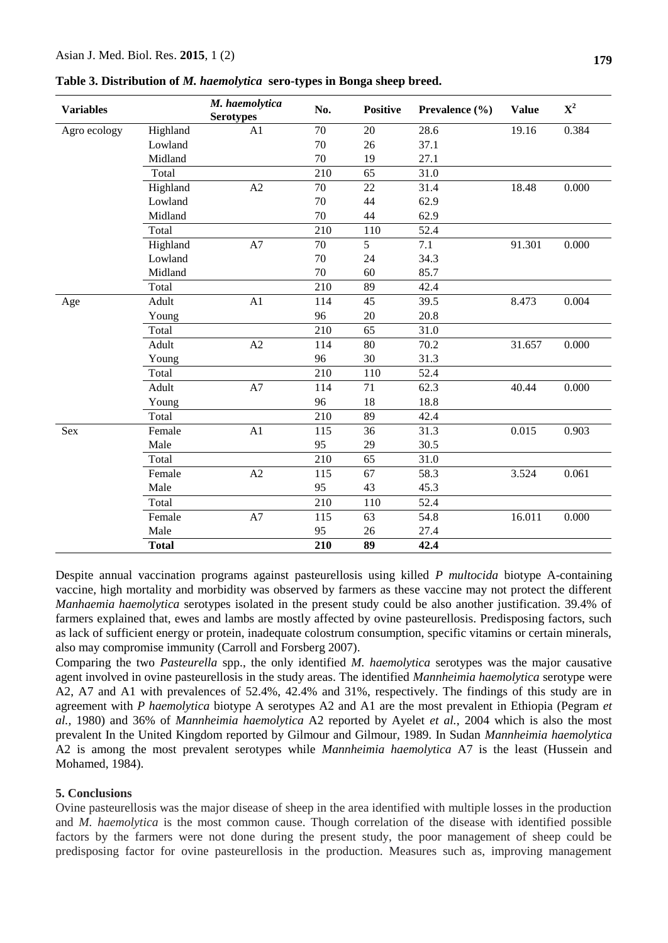**Table 3. Distribution of** *M. haemolytica* **sero-types in Bonga sheep breed.**

| <b>Variables</b> |              | M. haemolytica<br><b>Serotypes</b> | No.              | <b>Positive</b> | Prevalence $(\% )$ | <b>Value</b> | ${\bf X}^2$ |
|------------------|--------------|------------------------------------|------------------|-----------------|--------------------|--------------|-------------|
| Agro ecology     | Highland     | A1                                 | 70               | 20              | 28.6               | 19.16        | 0.384       |
|                  | Lowland      |                                    | 70               | 26              | 37.1               |              |             |
|                  | Midland      |                                    | 70               | 19              | 27.1               |              |             |
|                  | Total        |                                    | 210              | 65              | 31.0               |              |             |
|                  | Highland     | A2                                 | 70               | 22              | 31.4               | 18.48        | 0.000       |
|                  | Lowland      |                                    | 70               | 44              | 62.9               |              |             |
|                  | Midland      |                                    | 70               | 44              | 62.9               |              |             |
|                  | Total        |                                    | 210              | 110             | 52.4               |              |             |
|                  | Highland     | A7                                 | 70               | 5               | 7.1                | 91.301       | 0.000       |
|                  | Lowland      |                                    | 70               | 24              | 34.3               |              |             |
|                  | Midland      |                                    | 70               | 60              | 85.7               |              |             |
|                  | Total        |                                    | 210              | 89              | 42.4               |              |             |
| Age              | Adult        | A1                                 | 114              | 45              | 39.5               | 8.473        | 0.004       |
|                  | Young        |                                    | 96               | 20              | 20.8               |              |             |
|                  | Total        |                                    | $\overline{210}$ | 65              | $\overline{31.0}$  |              |             |
|                  | Adult        | A2                                 | 114              | 80              | 70.2               | 31.657       | 0.000       |
|                  | Young        |                                    | 96               | 30              | 31.3               |              |             |
|                  | Total        |                                    | 210              | 110             | 52.4               |              |             |
|                  | Adult        | A7                                 | 114              | 71              | 62.3               | 40.44        | 0.000       |
|                  | Young        |                                    | 96               | 18              | 18.8               |              |             |
|                  | Total        |                                    | 210              | 89              | 42.4               |              |             |
| Sex              | Female       | A1                                 | 115              | 36              | 31.3               | 0.015        | 0.903       |
|                  | Male         |                                    | 95               | 29              | 30.5               |              |             |
|                  | Total        |                                    | 210              | 65              | 31.0               |              |             |
|                  | Female       | A2                                 | 115              | 67              | 58.3               | 3.524        | 0.061       |
|                  | Male         |                                    | 95               | 43              | 45.3               |              |             |
|                  | Total        |                                    | 210              | 110             | 52.4               |              |             |
|                  | Female       | A7                                 | 115              | 63              | 54.8               | 16.011       | 0.000       |
|                  | Male         |                                    | 95               | 26              | 27.4               |              |             |
|                  | <b>Total</b> |                                    | 210              | 89              | 42.4               |              |             |

Despite annual vaccination programs against pasteurellosis using killed *P multocida* biotype A-containing vaccine, high mortality and morbidity was observed by farmers as these vaccine may not protect the different *Manhaemia haemolytica* serotypes isolated in the present study could be also another justification. 39.4% of farmers explained that, ewes and lambs are mostly affected by ovine pasteurellosis. Predisposing factors, such as lack of sufficient energy or protein, inadequate colostrum consumption, specific vitamins or certain minerals, also may compromise immunity (Carroll and Forsberg 2007).

Comparing the two *Pasteurella* spp., the only identified *M. haemolytica* serotypes was the major causative agent involved in ovine pasteurellosis in the study areas. The identified *Mannheimia haemolytica* serotype were A2, A7 and A1 with prevalences of 52.4%, 42.4% and 31%, respectively. The findings of this study are in agreement with *P haemolytica* biotype A serotypes A2 and A1 are the most prevalent in Ethiopia (Pegram *et al.,* 1980) and 36% of *Mannheimia haemolytica* A2 reported by Ayelet *et al.*, 2004 which is also the most prevalent In the United Kingdom reported by Gilmour and Gilmour, 1989. In Sudan *Mannheimia haemolytica* A2 is among the most prevalent serotypes while *Mannheimia haemolytica* A7 is the least (Hussein and Mohamed, 1984).

#### **5. Conclusions**

Ovine pasteurellosis was the major disease of sheep in the area identified with multiple losses in the production and *M. haemolytica* is the most common cause. Though correlation of the disease with identified possible factors by the farmers were not done during the present study, the poor management of sheep could be predisposing factor for ovine pasteurellosis in the production. Measures such as, improving management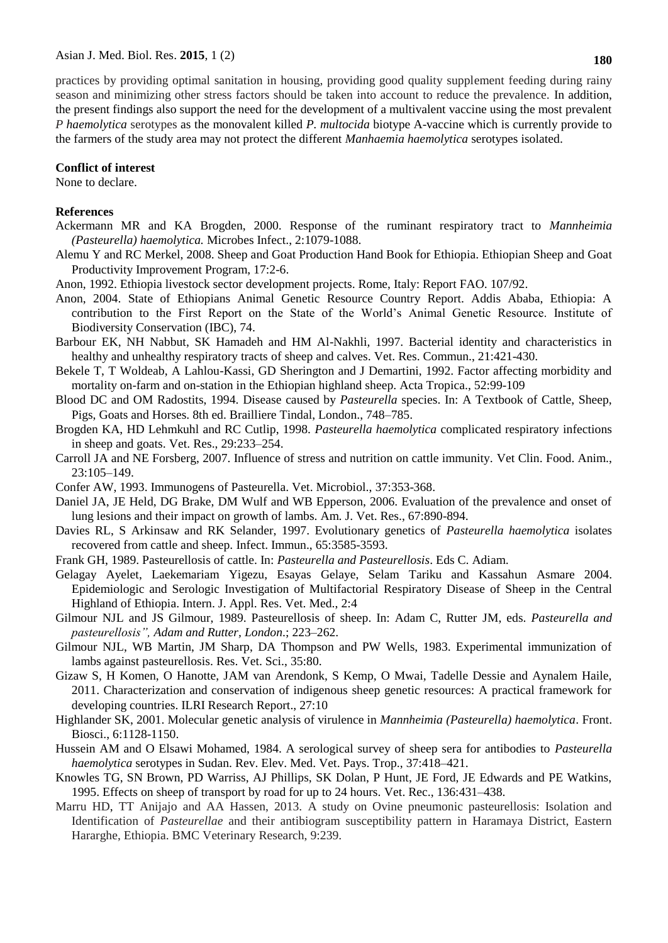#### **Conflict of interest**

None to declare.

#### **References**

- Ackermann MR and KA Brogden, 2000. Response of the ruminant respiratory tract to *Mannheimia (Pasteurella) haemolytica.* Microbes Infect., 2:1079-1088.
- Alemu Y and RC Merkel, 2008. Sheep and Goat Production Hand Book for Ethiopia. Ethiopian Sheep and Goat Productivity Improvement Program, 17:2-6.
- Anon, 1992. Ethiopia livestock sector development projects. Rome, Italy: Report FAO. 107/92.
- Anon, 2004. State of Ethiopians Animal Genetic Resource Country Report. Addis Ababa, Ethiopia: A contribution to the First Report on the State of the World's Animal Genetic Resource. Institute of Biodiversity Conservation (IBC), 74.
- Barbour EK, NH Nabbut, SK Hamadeh and HM Al-Nakhli, 1997. Bacterial identity and characteristics in healthy and unhealthy respiratory tracts of sheep and calves. Vet. Res. Commun., 21:421-430.
- Bekele T, T Woldeab, A Lahlou-Kassi, GD Sherington and J Demartini, 1992. Factor affecting morbidity and mortality on-farm and on-station in the Ethiopian highland sheep. Acta Tropica., 52:99-109
- Blood DC and OM Radostits, 1994. Disease caused by *Pasteurella* species. In: A Textbook of Cattle, Sheep, Pigs, Goats and Horses. 8th ed. Brailliere Tindal, London., 748–785.
- Brogden KA, HD Lehmkuhl and RC Cutlip, 1998. *Pasteurella haemolytica* complicated respiratory infections in sheep and goats. Vet. Res., 29:233–254.
- Carroll JA and NE Forsberg, 2007. Influence of stress and nutrition on cattle immunity. Vet Clin. Food. Anim., 23:105–149.
- Confer AW, 1993. Immunogens of Pasteurella. Vet. Microbiol., 37:353-368.
- Daniel JA, JE Held, DG Brake, DM Wulf and WB Epperson, 2006. Evaluation of the prevalence and onset of lung lesions and their impact on growth of lambs. Am. J. Vet. Res., 67:890-894.
- Davies RL, S Arkinsaw and RK Selander, 1997. Evolutionary genetics of *Pasteurella haemolytica* isolates recovered from cattle and sheep. Infect. Immun., 65:3585-3593.
- Frank GH, 1989. Pasteurellosis of cattle. In: *Pasteurella and Pasteurellosis*. Eds C. Adiam.
- Gelagay Ayelet, Laekemariam Yigezu, Esayas Gelaye, Selam Tariku and Kassahun Asmare 2004. Epidemiologic and Serologic Investigation of Multifactorial Respiratory Disease of Sheep in the Central Highland of Ethiopia. Intern. J. Appl. Res. Vet. Med., 2:4
- Gilmour NJL and JS Gilmour, 1989. Pasteurellosis of sheep. In: Adam C, Rutter JM, eds. *Pasteurella and pasteurellosis", Adam and Rutter, London*.; 223–262.
- Gilmour NJL, WB Martin, JM Sharp, DA Thompson and PW Wells, 1983. Experimental immunization of lambs against pasteurellosis. Res. Vet. Sci., 35:80.
- Gizaw S, H Komen, O Hanotte, JAM van Arendonk, S Kemp, O Mwai, Tadelle Dessie and Aynalem Haile, 2011. Characterization and conservation of indigenous sheep genetic resources: A practical framework for developing countries. ILRI Research Report., 27:10
- Highlander SK, 2001. Molecular genetic analysis of virulence in *Mannheimia (Pasteurella) haemolytica*. Front. Biosci., 6:1128-1150.
- Hussein AM and O Elsawi Mohamed, 1984. A serological survey of sheep sera for antibodies to *Pasteurella haemolytica* serotypes in Sudan. Rev. Elev. Med. Vet. Pays. Trop., 37:418–421.
- Knowles TG, SN Brown, PD Warriss, AJ Phillips, SK Dolan, P Hunt, JE Ford, JE Edwards and PE Watkins, 1995. Effects on sheep of transport by road for up to 24 hours. Vet. Rec., 136:431–438.
- Marru HD, TT Anijajo and AA Hassen, 2013. A study on Ovine pneumonic pasteurellosis: Isolation and Identification of *Pasteurellae* and their antibiogram susceptibility pattern in Haramaya District, Eastern Hararghe, Ethiopia. BMC Veterinary Research, 9:239.